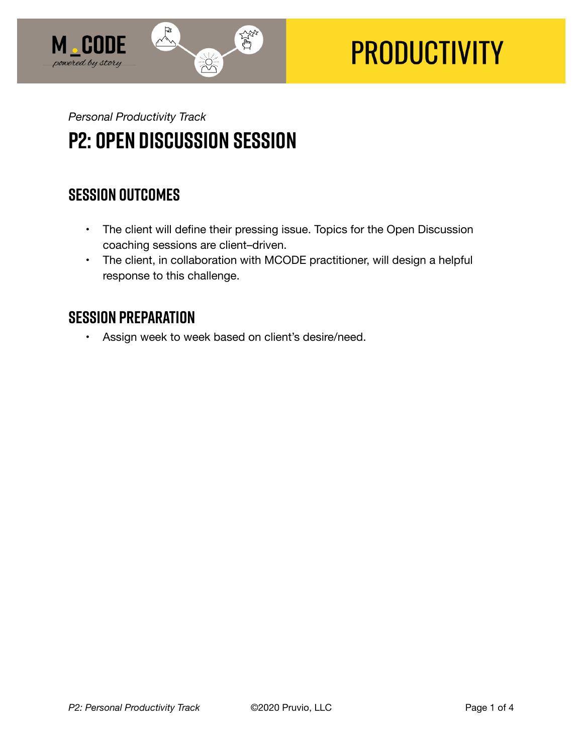

# **PRODUCTIVITY**

## *Personal Productivity Track*  **P2: Open Discussion Session**

## **SESSION OUTCOMES**

- The client will define their pressing issue. Topics for the Open Discussion coaching sessions are client–driven.
- The client, in collaboration with MCODE practitioner, will design a helpful response to this challenge.

## **SESSION PREPARATION**

• Assign week to week based on client's desire/need.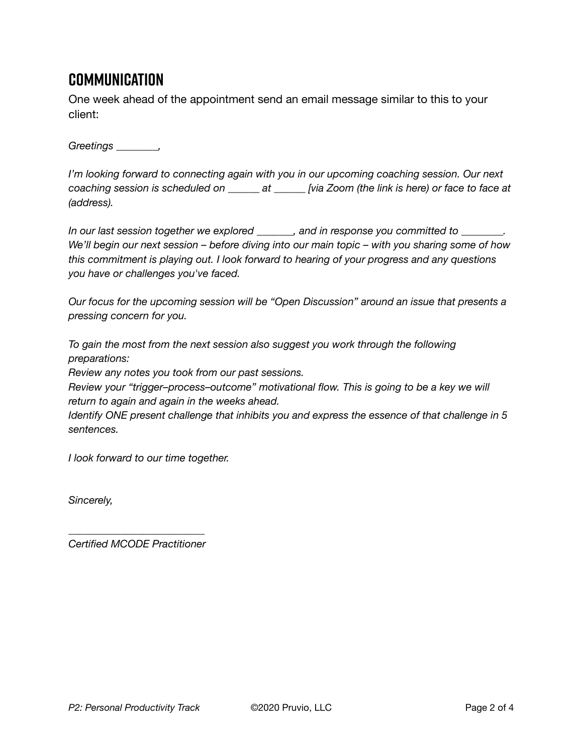## **Communication**

One week ahead of the appointment send an email message similar to this to your client:

*Greetings \_\_\_\_\_\_\_\_,* 

*I'm looking forward to connecting again with you in our upcoming coaching session. Our next coaching session is scheduled on \_\_\_\_\_\_ at \_\_\_\_\_\_ [via Zoom (the link is here) or face to face at (address).* 

*In our last session together we explored \_\_\_\_\_\_\_, and in response you committed to \_\_\_\_\_\_\_\_. We'll begin our next session – before diving into our main topic – with you sharing some of how this commitment is playing out. I look forward to hearing of your progress and any questions you have or challenges you've faced.* 

*Our focus for the upcoming session will be "Open Discussion" around an issue that presents a pressing concern for you.* 

*To gain the most from the next session also suggest you work through the following preparations:* 

*Review any notes you took from our past sessions.* 

*Review your "trigger–process–outcome" motivational flow. This is going to be a key we will return to again and again in the weeks ahead.* 

*Identify ONE present challenge that inhibits you and express the essence of that challenge in 5 sentences.* 

*I look forward to our time together.* 

*Sincerely,* 

*\_\_\_\_\_\_\_\_\_\_\_\_\_\_\_\_\_\_\_\_\_\_\_\_\_\_ Certified MCODE Practitioner*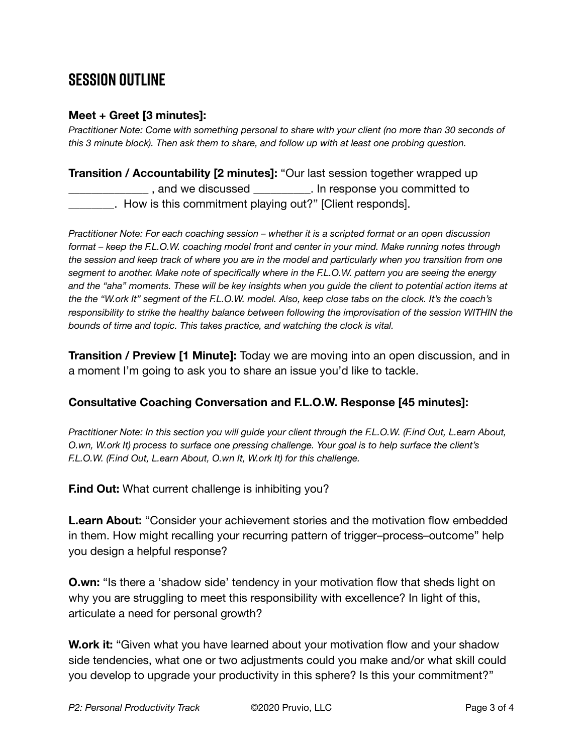## **SESSION OUTLINE**

#### **Meet + Greet [3 minutes]:**

*Practitioner Note: Come with something personal to share with your client (no more than 30 seconds of this 3 minute block). Then ask them to share, and follow up with at least one probing question.* 

#### **Transition / Accountability [2 minutes]:** "Our last session together wrapped up \_, and we discussed \_\_\_\_\_\_\_\_\_\_. In response you committed to . How is this commitment playing out?" [Client responds].

*Practitioner Note: For each coaching session – whether it is a scripted format or an open discussion format – keep the F.L.O.W. coaching model front and center in your mind. Make running notes through the session and keep track of where you are in the model and particularly when you transition from one segment to another. Make note of specifically where in the F.L.O.W. pattern you are seeing the energy and the "aha" moments. These will be key insights when you guide the client to potential action items at the the "W.ork It" segment of the F.L.O.W. model. Also, keep close tabs on the clock. It's the coach's responsibility to strike the healthy balance between following the improvisation of the session WITHIN the bounds of time and topic. This takes practice, and watching the clock is vital.*

**Transition / Preview [1 Minute]:** Today we are moving into an open discussion, and in a moment I'm going to ask you to share an issue you'd like to tackle.

#### **Consultative Coaching Conversation and F.L.O.W. Response [45 minutes]:**

*Practitioner Note: In this section you will guide your client through the F.L.O.W. (F.ind Out, L.earn About, O.wn, W.ork It) process to surface one pressing challenge. Your goal is to help surface the client's F.L.O.W. (F.ind Out, L.earn About, O.wn It, W.ork It) for this challenge.*

**F.ind Out:** What current challenge is inhibiting you?

**L.earn About:** "Consider your achievement stories and the motivation flow embedded in them. How might recalling your recurring pattern of trigger–process–outcome" help you design a helpful response?

**O.wn:** "Is there a 'shadow side' tendency in your motivation flow that sheds light on why you are struggling to meet this responsibility with excellence? In light of this, articulate a need for personal growth?

**W.ork it:** "Given what you have learned about your motivation flow and your shadow side tendencies, what one or two adjustments could you make and/or what skill could you develop to upgrade your productivity in this sphere? Is this your commitment?"